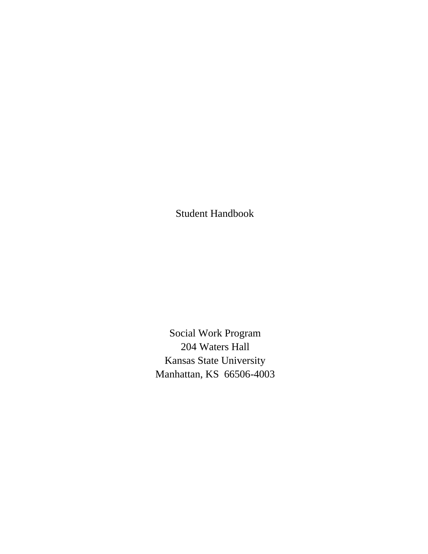Student Handbook

Social Work Program 204 Waters Hall Kansas State University Manhattan, KS 66506-4003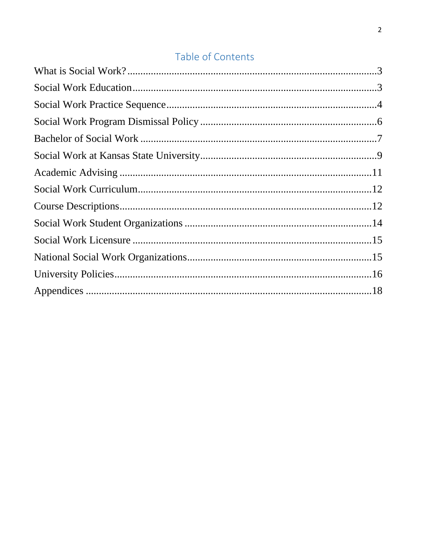# Table of Contents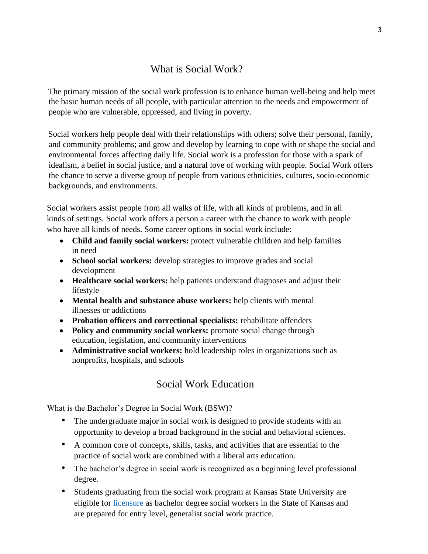# What is Social Work?

<span id="page-2-0"></span>The primary mission of the social work profession is to enhance human well-being and help meet the basic human needs of all people, with particular attention to the needs and empowerment of people who are vulnerable, oppressed, and living in poverty.

Social workers help people deal with their relationships with others; solve their personal, family, and community problems; and grow and develop by learning to cope with or shape the social and environmental forces affecting daily life. Social work is a profession for those with a spark of idealism, a belief in social justice, and a natural love of working with people. Social Work offers the chance to serve a diverse group of people from various ethnicities, cultures, socio-economic backgrounds, and environments.

Social workers assist people from all walks of life, with all kinds of problems, and in all kinds of settings. Social work offers a person a career with the chance to work with people who have all kinds of needs. Some career options in social work include:

- **Child and family social workers:** protect vulnerable children and help families in need
- **School social workers:** develop strategies to improve grades and social development
- **Healthcare social workers:** help patients understand diagnoses and adjust their lifestyle
- **Mental health and substance abuse workers:** help clients with mental illnesses or addictions
- **Probation officers and correctional specialists:** rehabilitate offenders
- **Policy and community social workers:** promote social change through education, legislation, and community interventions
- **Administrative social workers:** hold leadership roles in organizations such as nonprofits, hospitals, and schools

# Social Work Education

<span id="page-2-1"></span>What is the Bachelor's Degree in Social Work (BSW)?

- The undergraduate major in social work is designed to provide students with an opportunity to develop a broad background in the social and behavioral sciences.
- A common core of concepts, skills, tasks, and activities that are essential to the practice of social work are combined with a liberal arts education.
- The bachelor's degree in social work is recognized as a beginning level professional degree.
- Students graduating from the social work program at Kansas State University are eligible for [licensure](https://www.k-state.edu/sasw/sw/licensure.html) [a](https://ksbsrb.ks.gov/)s bachelor degree social workers in the State of Kansas and are prepared for entry level, generalist social work practice.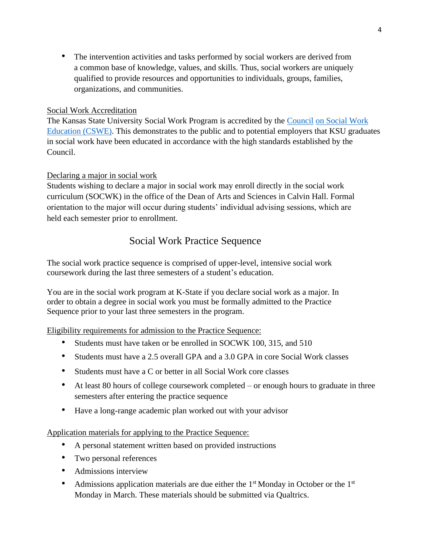• The intervention activities and tasks performed by social workers are derived from a common base of knowledge, values, and skills. Thus, social workers are uniquely qualified to provide resources and opportunities to individuals, groups, families, organizations, and communities.

### Social Work Accreditation

The Kansas State University Social Work Program is accredited by th[e](https://www.cswe.org/) [Council](https://www.cswe.org/) [on Social Work](https://www.cswe.org/)  [Education \(CSWE\).](https://www.cswe.org/) This demonstrates to the public and to potential employers that KSU graduates in social work have been educated in accordance with the high standards established by the Council.

#### Declaring a major in social work

Students wishing to declare a major in social work may enroll directly in the social work curriculum (SOCWK) in the office of the Dean of Arts and Sciences in Calvin Hall. Formal orientation to the major will occur during students' individual advising sessions, which are held each semester prior to enrollment.

# Social Work Practice Sequence

<span id="page-3-0"></span>The social work practice sequence is comprised of upper-level, intensive social work coursework during the last three semesters of a student's education.

You are in the social work program at K-State if you declare social work as a major. In order to obtain a degree in social work you must be formally admitted to the Practice Sequence prior to your last three semesters in the program.

Eligibility requirements for admission to the Practice Sequence:

- Students must have taken or be enrolled in SOCWK 100, 315, and 510
- Students must have a 2.5 overall GPA and a 3.0 GPA in core Social Work classes
- Students must have a C or better in all Social Work core classes
- At least 80 hours of college coursework completed or enough hours to graduate in three semesters after entering the practice sequence
- Have a long-range academic plan worked out with your advisor

#### Application materials for applying to the Practice Sequence:

- A personal statement written based on provided instructions
- Two personal references
- Admissions interview
- Admissions application materials are due either the  $1<sup>st</sup>$  Monday in October or the  $1<sup>st</sup>$ Monday in March. These materials should be submitted via Qualtrics.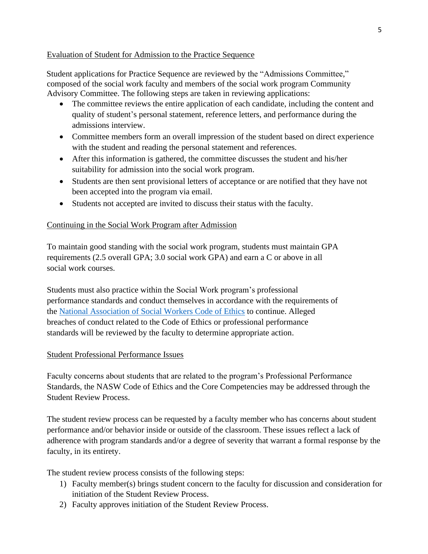#### Evaluation of Student for Admission to the Practice Sequence

Student applications for Practice Sequence are reviewed by the "Admissions Committee," composed of the social work faculty and members of the social work program Community Advisory Committee. The following steps are taken in reviewing applications:

- The committee reviews the entire application of each candidate, including the content and quality of student's personal statement, reference letters, and performance during the admissions interview.
- Committee members form an overall impression of the student based on direct experience with the student and reading the personal statement and references.
- After this information is gathered, the committee discusses the student and his/her suitability for admission into the social work program.
- Students are then sent provisional letters of acceptance or are notified that they have not been accepted into the program via email.
- Students not accepted are invited to discuss their status with the faculty.

### Continuing in the Social Work Program after Admission

To maintain good standing with the social work program, students must maintain GPA requirements (2.5 overall GPA; 3.0 social work GPA) and earn a C or above in all social work courses.

Students must also practice within the Social Work program's professional performance standards and conduct themselves in accordance with the requirements of the [National Association of Social Workers Code of Ethics](https://www.socialworkers.org/About/Ethics/Code-of-Ethics/Code-of-Ethics-English) [to](http://www.socialworkers.org/pubs/code/code.asp) [co](http://www.socialworkers.org/pubs/code/code.asp)ntinue. Alleged breaches of conduct related to the Code of Ethics or professional performance standards will be reviewed by the faculty to determine appropriate action.

### Student Professional Performance Issues

Faculty concerns about students that are related to the program's Professional Performance Standards, the NASW Code of Ethics and the Core Competencies may be addressed through the Student Review Process.

The student review process can be requested by a faculty member who has concerns about student performance and/or behavior inside or outside of the classroom. These issues reflect a lack of adherence with program standards and/or a degree of severity that warrant a formal response by the faculty, in its entirety.

The student review process consists of the following steps:

- 1) Faculty member(s) brings student concern to the faculty for discussion and consideration for initiation of the Student Review Process.
- 2) Faculty approves initiation of the Student Review Process.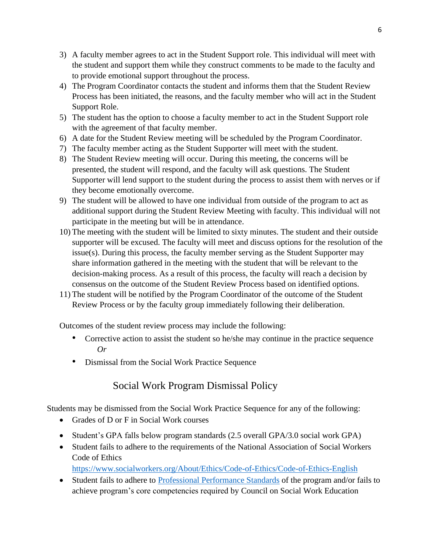- 3) A faculty member agrees to act in the Student Support role. This individual will meet with the student and support them while they construct comments to be made to the faculty and to provide emotional support throughout the process.
- 4) The Program Coordinator contacts the student and informs them that the Student Review Process has been initiated, the reasons, and the faculty member who will act in the Student Support Role.
- 5) The student has the option to choose a faculty member to act in the Student Support role with the agreement of that faculty member.
- 6) A date for the Student Review meeting will be scheduled by the Program Coordinator.
- 7) The faculty member acting as the Student Supporter will meet with the student.
- 8) The Student Review meeting will occur. During this meeting, the concerns will be presented, the student will respond, and the faculty will ask questions. The Student Supporter will lend support to the student during the process to assist them with nerves or if they become emotionally overcome.
- 9) The student will be allowed to have one individual from outside of the program to act as additional support during the Student Review Meeting with faculty. This individual will not participate in the meeting but will be in attendance.
- 10) The meeting with the student will be limited to sixty minutes. The student and their outside supporter will be excused. The faculty will meet and discuss options for the resolution of the issue(s). During this process, the faculty member serving as the Student Supporter may share information gathered in the meeting with the student that will be relevant to the decision-making process. As a result of this process, the faculty will reach a decision by consensus on the outcome of the Student Review Process based on identified options.
- 11) The student will be notified by the Program Coordinator of the outcome of the Student Review Process or by the faculty group immediately following their deliberation.

Outcomes of the student review process may include the following:

- Corrective action to assist the student so he/she may continue in the practice sequence *Or*
- Dismissal from the Social Work Practice Sequence

# Social Work Program Dismissal Policy

<span id="page-5-0"></span>Students may be dismissed from the Social Work Practice Sequence for any of the following:

- Grades of D or F in Social Work courses
- Student's GPA falls below program standards (2.5 overall GPA/3.0 social work GPA)
- Student fails to adhere to the requirements of the National Association of Social Workers Code of Ethics <https://www.socialworkers.org/About/Ethics/Code-of-Ethics/Code-of-Ethics-English>
- Student fails to adhere to [Professional Performance Standards](http://www.k-state.edu/sasw/sw/) of the program and/or fails to achieve program's core competencies required by Council on Social Work Education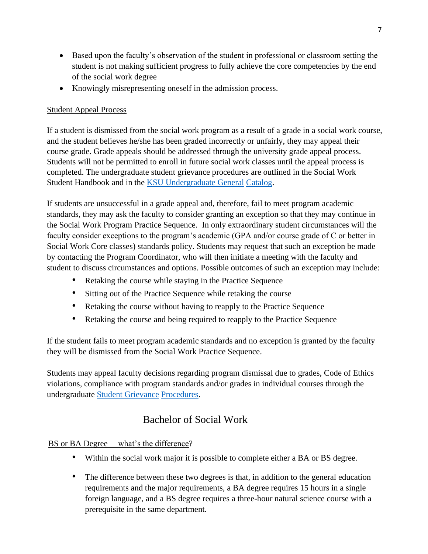- Based upon the faculty's observation of the student in professional or classroom setting the student is not making sufficient progress to fully achieve the core competencies by the end of the social work degree
- Knowingly misrepresenting oneself in the admission process.

## Student Appeal Process

If a student is dismissed from the social work program as a result of a grade in a social work course, and the student believes he/she has been graded incorrectly or unfairly, they may appeal their course grade. Grade appeals should be addressed through the university grade appeal process. Students will not be permitted to enroll in future social work classes until the appeal process is completed. The undergraduate student grievance procedures are outlined in the Social Work Student Handbook and in the [KSU Undergraduate General](http://catalog.k-state.edu/) Catalog.

If students are unsuccessful in a grade appeal and, therefore, fail to meet program academic standards, they may ask the faculty to consider granting an exception so that they may continue in the Social Work Program Practice Sequence. In only extraordinary student circumstances will the faculty consider exceptions to the program's academic (GPA and/or course grade of C or better in Social Work Core classes) standards policy. Students may request that such an exception be made by contacting the Program Coordinator, who will then initiate a meeting with the faculty and student to discuss circumstances and options. Possible outcomes of such an exception may include:

- Retaking the course while staying in the Practice Sequence
- Sitting out of the Practice Sequence while retaking the course
- Retaking the course without having to reapply to the Practice Sequence
- Retaking the course and being required to reapply to the Practice Sequence

If the student fails to meet program academic standards and no exception is granted by the faculty they will be dismissed from the Social Work Practice Sequence.

Students may appeal faculty decisions regarding program dismissal due to grades, Code of Ethics violations, compliance with program standards and/or grades in individual courses through the undergraduate [Student Grievance](http://www.k-state.edu/provost/universityhb/fhxv.html) [Procedures.](http://www.k-state.edu/provost/universityhb/fhxv.html)

# Bachelor of Social Work

<span id="page-6-0"></span>BS or BA Degree— what's the difference?

- Within the social work major it is possible to complete either a BA or BS degree.
- The difference between these two degrees is that, in addition to the general education requirements and the major requirements, a BA degree requires 15 hours in a single foreign language, and a BS degree requires a three-hour natural science course with a prerequisite in the same department.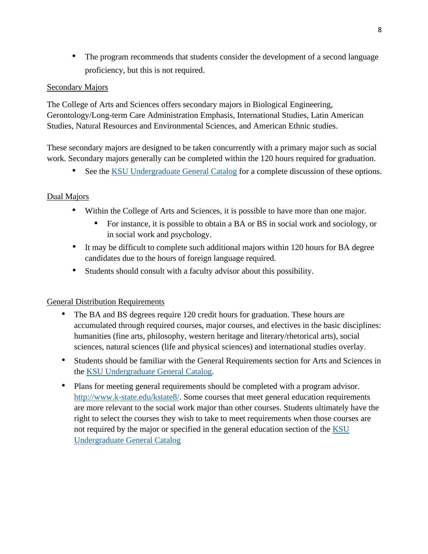• The program recommends that students consider the development of a second language proficiency, but this is not required.

### Secondary Majors

The College of Arts and Sciences offers secondary majors in Biological Engineering, Gerontology/Long-term Care Administration Emphasis, International Studies, Latin American Studies, Natural Resources and Environmental Sciences, and American Ethnic studies.

These secondary majors are designed to be taken concurrently with a primary major such as social work. Secondary majors generally can be completed within the 120 hours required for graduation.

• See the [KSU Undergraduate General Catalog](http://catalog.k-state.edu/) for a complete discussion of these options.

# Dual Majors

- Within the College of Arts and Sciences, it is possible to have more than one major.
	- For instance, it is possible to obtain a BA or BS in social work and sociology, or in social work and psychology.
- It may be difficult to complete such additional majors within 120 hours for BA degree candidates due to the hours of foreign language required.
- Students should consult with a faculty advisor about this possibility.

### General Distribution Requirements

- The BA and BS degrees require 120 credit hours for graduation. These hours are accumulated through required courses, major courses, and electives in the basic disciplines: humanities (fine arts, philosophy, western heritage and literary/rhetorical arts), social sciences, natural sciences (life and physical sciences) and international studies overlay.
- Students should be familiar with the General Requirements section for Arts and Sciences in the [KSU Undergraduate General Catalog.](http://catalog.k-state.edu/)
- Plans for meeting general requirements should be completed with a program advisor[.](http://www.k-state.edu/kstate8/) [http://www.k-state.edu/kstate8/.](http://www.k-state.edu/kstate8/) [So](http://www.k-state.edu/kstate8/)me courses that meet general education requirements are more relevant to the social work major than other courses. Students ultimately have the right to select the courses they wish to take to meet requirements when those courses are not required by the major or specified in the general education section of the [KSU](http://catalog.k-state.edu/)  [Undergraduate General Catalog](http://catalog.k-state.edu/)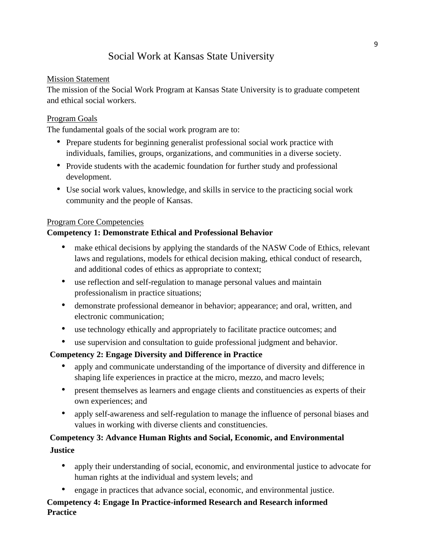# Social Work at Kansas State University

### <span id="page-8-0"></span>Mission Statement

The mission of the Social Work Program at Kansas State University is to graduate competent and ethical social workers.

### Program Goals

The fundamental goals of the social work program are to:

- Prepare students for beginning generalist professional social work practice with individuals, families, groups, organizations, and communities in a diverse society.
- Provide students with the academic foundation for further study and professional development.
- Use social work values, knowledge, and skills in service to the practicing social work community and the people of Kansas.

### Program Core Competencies

### **Competency 1: Demonstrate Ethical and Professional Behavior**

- make ethical decisions by applying the standards of the NASW Code of Ethics, relevant laws and regulations, models for ethical decision making, ethical conduct of research, and additional codes of ethics as appropriate to context;
- use reflection and self-regulation to manage personal values and maintain professionalism in practice situations;
- demonstrate professional demeanor in behavior; appearance; and oral, written, and electronic communication;
- use technology ethically and appropriately to facilitate practice outcomes; and
- use supervision and consultation to guide professional judgment and behavior.

# **Competency 2: Engage Diversity and Difference in Practice**

- apply and communicate understanding of the importance of diversity and difference in shaping life experiences in practice at the micro, mezzo, and macro levels;
- present themselves as learners and engage clients and constituencies as experts of their own experiences; and
- apply self-awareness and self-regulation to manage the influence of personal biases and values in working with diverse clients and constituencies.

# **Competency 3: Advance Human Rights and Social, Economic, and Environmental Justice**

- apply their understanding of social, economic, and environmental justice to advocate for human rights at the individual and system levels; and
- engage in practices that advance social, economic, and environmental justice.

# **Competency 4: Engage In Practice-informed Research and Research informed Practice**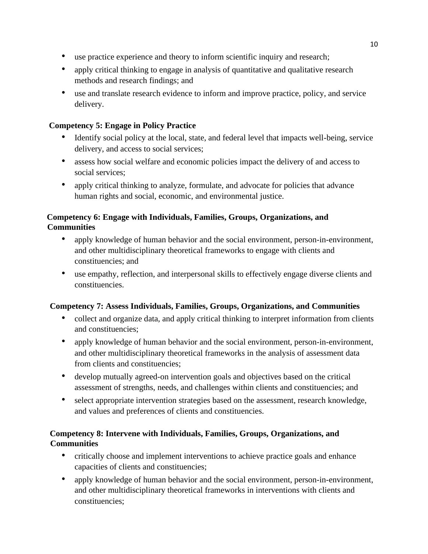- use practice experience and theory to inform scientific inquiry and research;
- apply critical thinking to engage in analysis of quantitative and qualitative research methods and research findings; and
- use and translate research evidence to inform and improve practice, policy, and service delivery.

# **Competency 5: Engage in Policy Practice**

- Identify social policy at the local, state, and federal level that impacts well-being, service delivery, and access to social services;
- assess how social welfare and economic policies impact the delivery of and access to social services;
- apply critical thinking to analyze, formulate, and advocate for policies that advance human rights and social, economic, and environmental justice.

# **Competency 6: Engage with Individuals, Families, Groups, Organizations, and Communities**

- apply knowledge of human behavior and the social environment, person-in-environment, and other multidisciplinary theoretical frameworks to engage with clients and constituencies; and
- use empathy, reflection, and interpersonal skills to effectively engage diverse clients and constituencies.

# **Competency 7: Assess Individuals, Families, Groups, Organizations, and Communities**

- collect and organize data, and apply critical thinking to interpret information from clients and constituencies;
- apply knowledge of human behavior and the social environment, person-in-environment, and other multidisciplinary theoretical frameworks in the analysis of assessment data from clients and constituencies;
- develop mutually agreed-on intervention goals and objectives based on the critical assessment of strengths, needs, and challenges within clients and constituencies; and
- select appropriate intervention strategies based on the assessment, research knowledge, and values and preferences of clients and constituencies.

# **Competency 8: Intervene with Individuals, Families, Groups, Organizations, and Communities**

- critically choose and implement interventions to achieve practice goals and enhance capacities of clients and constituencies;
- apply knowledge of human behavior and the social environment, person-in-environment, and other multidisciplinary theoretical frameworks in interventions with clients and constituencies;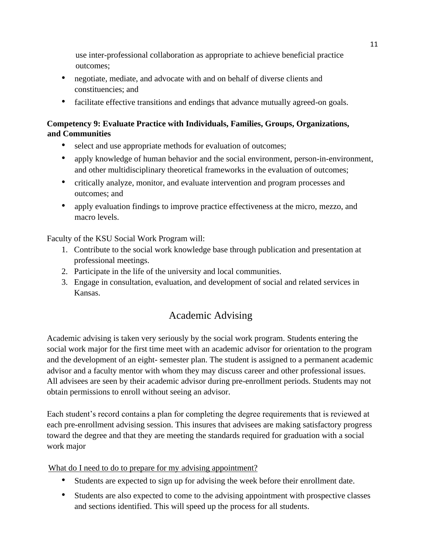use inter-professional collaboration as appropriate to achieve beneficial practice outcomes;

- negotiate, mediate, and advocate with and on behalf of diverse clients and constituencies; and
- facilitate effective transitions and endings that advance mutually agreed-on goals.

# **Competency 9: Evaluate Practice with Individuals, Families, Groups, Organizations, and Communities**

- select and use appropriate methods for evaluation of outcomes;
- apply knowledge of human behavior and the social environment, person-in-environment, and other multidisciplinary theoretical frameworks in the evaluation of outcomes;
- critically analyze, monitor, and evaluate intervention and program processes and outcomes; and
- apply evaluation findings to improve practice effectiveness at the micro, mezzo, and macro levels.

Faculty of the KSU Social Work Program will:

- 1. Contribute to the social work knowledge base through publication and presentation at professional meetings.
- 2. Participate in the life of the university and local communities.
- 3. Engage in consultation, evaluation, and development of social and related services in Kansas.

# Academic Advising

<span id="page-10-0"></span>Academic advising is taken very seriously by the social work program. Students entering the social work major for the first time meet with an academic advisor for orientation to the program and the development of an eight- semester plan. The student is assigned to a permanent academic advisor and a faculty mentor with whom they may discuss career and other professional issues. All advisees are seen by their academic advisor during pre-enrollment periods. Students may not obtain permissions to enroll without seeing an advisor.

Each student's record contains a plan for completing the degree requirements that is reviewed at each pre-enrollment advising session. This insures that advisees are making satisfactory progress toward the degree and that they are meeting the standards required for graduation with a social work major

What do I need to do to prepare for my advising appointment?

- Students are expected to sign up for advising the week before their enrollment date.
- Students are also expected to come to the advising appointment with prospective classes and sections identified. This will speed up the process for all students.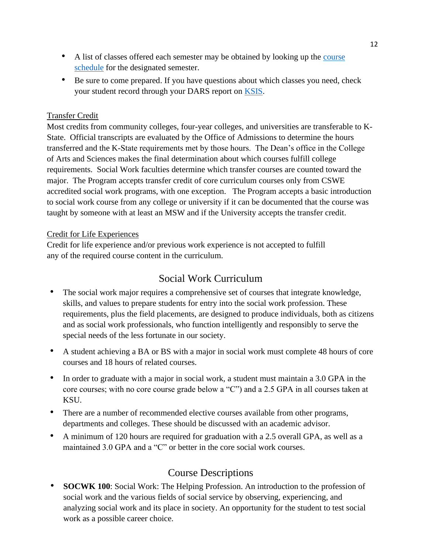- A list of classes offered each semester may be obtained by looking up the course [schedule](http://courses.k-state.edu/) [f](http://courses.k-state.edu/)or the designated semester.
- Be sure to come prepared. If you have questions about which classes you need, check your student record through your DARS report on [KSIS.](http://www.k-state.edu/ksis/help/students/)

### Transfer Credit

Most credits from community colleges, four-year colleges, and universities are transferable to K-State. Official transcripts are evaluated by the Office of Admissions to determine the hours transferred and the K-State requirements met by those hours. The Dean's office in the College of Arts and Sciences makes the final determination about which courses fulfill college requirements. Social Work faculties determine which transfer courses are counted toward the major. The Program accepts transfer credit of core curriculum courses only from CSWE accredited social work programs, with one exception. The Program accepts a basic introduction to social work course from any college or university if it can be documented that the course was taught by someone with at least an MSW and if the University accepts the transfer credit.

#### Credit for Life Experiences

Credit for life experience and/or previous work experience is not accepted to fulfill any of the required course content in the curriculum.

# Social Work Curriculum

- <span id="page-11-0"></span>• The social work major requires a comprehensive set of courses that integrate knowledge, skills, and values to prepare students for entry into the social work profession. These requirements, plus the field placements, are designed to produce individuals, both as citizens and as social work professionals, who function intelligently and responsibly to serve the special needs of the less fortunate in our society.
- A student achieving a BA or BS with a major in social work must complete 48 hours of core courses and 18 hours of related courses.
- In order to graduate with a major in social work, a student must maintain a 3.0 GPA in the core courses; with no core course grade below a "C") and a 2.5 GPA in all courses taken at KSU.
- There are a number of recommended elective courses available from other programs, departments and colleges. These should be discussed with an academic advisor.
- A minimum of 120 hours are required for graduation with a 2.5 overall GPA, as well as a maintained 3.0 GPA and a "C" or better in the core social work courses.

# Course Descriptions

<span id="page-11-1"></span>• **SOCWK 100**: Social Work: The Helping Profession. An introduction to the profession of social work and the various fields of social service by observing, experiencing, and analyzing social work and its place in society. An opportunity for the student to test social work as a possible career choice.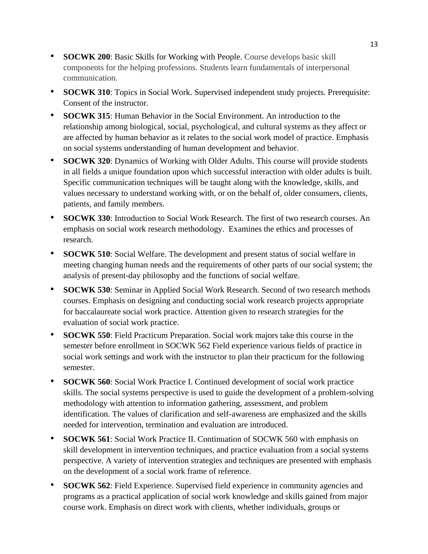- **SOCWK 200**: Basic Skills for Working with People. Course develops basic skill components for the helping professions. Students learn fundamentals of interpersonal communication.
- **SOCWK 310**: Topics in Social Work. Supervised independent study projects. Prerequisite: Consent of the instructor.
- **SOCWK 315**: Human Behavior in the Social Environment. An introduction to the relationship among biological, social, psychological, and cultural systems as they affect or are affected by human behavior as it relates to the social work model of practice. Emphasis on social systems understanding of human development and behavior.
- **SOCWK 320**: Dynamics of Working with Older Adults. This course will provide students in all fields a unique foundation upon which successful interaction with older adults is built. Specific communication techniques will be taught along with the knowledge, skills, and values necessary to understand working with, or on the behalf of, older consumers, clients, patients, and family members.
- **SOCWK 330**: Introduction to Social Work Research. The first of two research courses. An emphasis on social work research methodology. Examines the ethics and processes of research.
- **SOCWK 510**: Social Welfare. The development and present status of social welfare in meeting changing human needs and the requirements of other parts of our social system; the analysis of present-day philosophy and the functions of social welfare.
- **SOCWK 530**: Seminar in Applied Social Work Research. Second of two research methods courses. Emphasis on designing and conducting social work research projects appropriate for baccalaureate social work practice. Attention given to research strategies for the evaluation of social work practice.
- **SOCWK 550**: Field Practicum Preparation. Social work majors take this course in the semester before enrollment in SOCWK 562 Field experience various fields of practice in social work settings and work with the instructor to plan their practicum for the following semester.
- **SOCWK 560**: Social Work Practice I. Continued development of social work practice skills. The social systems perspective is used to guide the development of a problem-solving methodology with attention to information gathering, assessment, and problem identification. The values of clarification and self-awareness are emphasized and the skills needed for intervention, termination and evaluation are introduced.
- **SOCWK 561**: Social Work Practice II. Continuation of SOCWK 560 with emphasis on skill development in intervention techniques, and practice evaluation from a social systems perspective. A variety of intervention strategies and techniques are presented with emphasis on the development of a social work frame of reference.
- **SOCWK 562**: Field Experience. Supervised field experience in community agencies and programs as a practical application of social work knowledge and skills gained from major course work. Emphasis on direct work with clients, whether individuals, groups or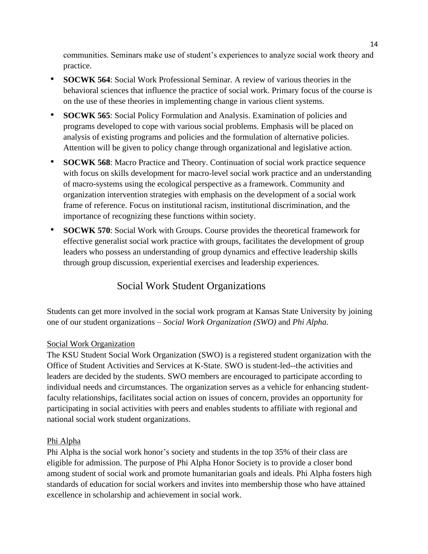communities. Seminars make use of student's experiences to analyze social work theory and practice.

- **SOCWK 564**: Social Work Professional Seminar. A review of various theories in the behavioral sciences that influence the practice of social work. Primary focus of the course is on the use of these theories in implementing change in various client systems.
- **SOCWK 565**: Social Policy Formulation and Analysis. Examination of policies and programs developed to cope with various social problems. Emphasis will be placed on analysis of existing programs and policies and the formulation of alternative policies. Attention will be given to policy change through organizational and legislative action.
- **SOCWK 568**: Macro Practice and Theory. Continuation of social work practice sequence with focus on skills development for macro-level social work practice and an understanding of macro-systems using the ecological perspective as a framework. Community and organization intervention strategies with emphasis on the development of a social work frame of reference. Focus on institutional racism, institutional discrimination, and the importance of recognizing these functions within society.
- **SOCWK 570**: Social Work with Groups. Course provides the theoretical framework for effective generalist social work practice with groups, facilitates the development of group leaders who possess an understanding of group dynamics and effective leadership skills through group discussion, experiential exercises and leadership experiences.

# Social Work Student Organizations

<span id="page-13-0"></span>Students can get more involved in the social work program at Kansas State University by joining one of our student organizations – *Social Work Organization (SWO)* and *Phi Alpha*.

# Social Work Organization

The KSU Student Social Work Organization (SWO) is a registered student organization with the Office of Student Activities and Services at K-State. SWO is student-led--the activities and leaders are decided by the students. SWO members are encouraged to participate according to individual needs and circumstances. The organization serves as a vehicle for enhancing studentfaculty relationships, facilitates social action on issues of concern, provides an opportunity for participating in social activities with peers and enables students to affiliate with regional and national social work student organizations.

# Phi Alpha

Phi Alpha is the social work honor's society and students in the top 35% of their class are eligible for admission. The purpose of Phi Alpha Honor Society is to provide a closer bond among student of social work and promote humanitarian goals and ideals. Phi Alpha fosters high standards of education for social workers and invites into membership those who have attained excellence in scholarship and achievement in social work.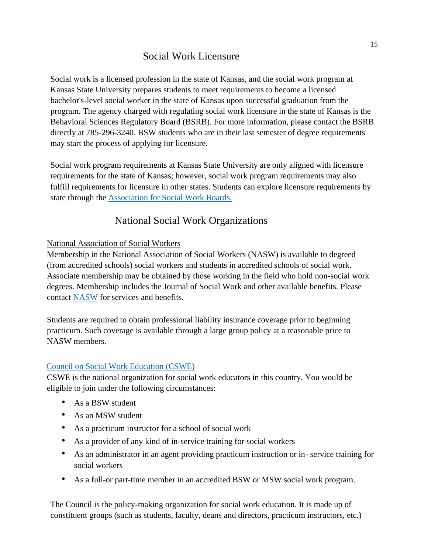# Social Work Licensure

<span id="page-14-0"></span>Social work is a licensed profession in the state of Kansas, and the social work program at Kansas State University prepares students to meet requirements to become a licensed bachelor's-level social worker in the state of Kansas upon successful graduation from the program. The agency charged with regulating social work licensure in the state of Kansas is the Behavioral Sciences Regulatory Board (BSRB). For more information, please contact the BSRB directly at 785-296-3240. BSW students who are in their last semester of degree requirements may start the process of applying for licensure.

Social work program requirements at Kansas State University are only aligned with licensure requirements for the state of Kansas; however, social work program requirements may also fulfill requirements for licensure in other states. Students can explore licensure requirements by state through the [Association for Social Work Boards.](https://www.aswb.org/licensees/about-licensing-and-regulation/social-work-regulation/)

# National Social Work Organizations

### <span id="page-14-1"></span>National Association of Social Workers

Membership in the National Association of Social Workers (NASW) is available to degreed (from accredited schools) social workers and students in accredited schools of social work. Associate membership may be obtained by those working in the field who hold non-social work degrees. Membership includes the Journal of Social Work and other available benefits. Please contac[t](https://www.socialworkers.org/) [NASW](https://www.socialworkers.org/) for services and benefits.

Students are required to obtain professional liability insurance coverage prior to beginning practicum. Such coverage is available through a large group policy at a reasonable price to NASW members.

# [Council on Social Work Education \(CSWE\)](https://www.cswe.org/)

CSWE is the national organization for social work educators in this country. You would be eligible to join under the following circumstances:

- As a BSW student
- As an MSW student
- As a practicum instructor for a school of social work
- As a provider of any kind of in-service training for social workers
- As an administrator in an agent providing practicum instruction or in- service training for social workers
- As a full-or part-time member in an accredited BSW or MSW social work program.

The Council is the policy-making organization for social work education. It is made up of constituent groups (such as students, faculty, deans and directors, practicum instructors, etc.)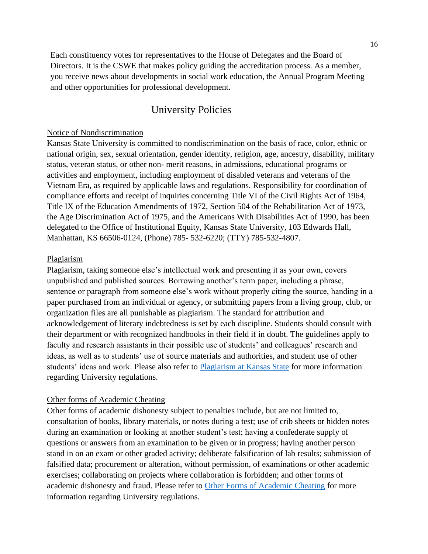Each constituency votes for representatives to the House of Delegates and the Board of Directors. It is the CSWE that makes policy guiding the accreditation process. As a member, you receive news about developments in social work education, the Annual Program Meeting and other opportunities for professional development.

# University Policies

#### <span id="page-15-0"></span>Notice of Nondiscrimination

Kansas State University is committed to nondiscrimination on the basis of race, color, ethnic or national origin, sex, sexual orientation, gender identity, religion, age, ancestry, disability, military status, veteran status, or other non- merit reasons, in admissions, educational programs or activities and employment, including employment of disabled veterans and veterans of the Vietnam Era, as required by applicable laws and regulations. Responsibility for coordination of compliance efforts and receipt of inquiries concerning Title VI of the Civil Rights Act of 1964, Title IX of the Education Amendments of 1972, Section 504 of the Rehabilitation Act of 1973, the Age Discrimination Act of 1975, and the Americans With Disabilities Act of 1990, has been delegated to the Office of Institutional Equity, Kansas State University, 103 Edwards Hall, Manhattan, KS 66506-0124, (Phone) 785- 532-6220; (TTY) 785-532-4807.

#### Plagiarism

Plagiarism, taking someone else's intellectual work and presenting it as your own, covers unpublished and published sources. Borrowing another's term paper, including a phrase, sentence or paragraph from someone else's work without properly citing the source, handing in a paper purchased from an individual or agency, or submitting papers from a living group, club, or organization files are all punishable as plagiarism. The standard for attribution and acknowledgement of literary indebtedness is set by each discipline. Students should consult with their department or with recognized handbooks in their field if in doubt. The guidelines apply to faculty and research assistants in their possible use of students' and colleagues' research and ideas, as well as to students' use of source materials and authorities, and student use of other students' ideas and work. Please also refer to Plagiarism at Kansas State for more information regarding University regulations.

#### Other forms of Academic Cheating

Other forms of academic dishonesty subject to penalties include, but are not limited to, consultation of books, library materials, or notes during a test; use of crib sheets or hidden notes during an examination or looking at another student's test; having a confederate supply of questions or answers from an examination to be given or in progress; having another person stand in on an exam or other graded activity; deliberate falsification of lab results; submission of falsified data; procurement or alteration, without permission, of examinations or other academic exercises; collaborating on projects where collaboration is forbidden; and other forms of academic dishonesty and fraud. Please refer to Other Forms of Academic Cheating for more information regarding University regulations.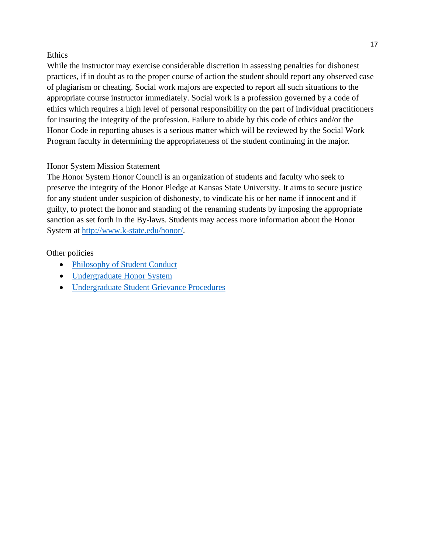### Ethics

While the instructor may exercise considerable discretion in assessing penalties for dishonest practices, if in doubt as to the proper course of action the student should report any observed case of plagiarism or cheating. Social work majors are expected to report all such situations to the appropriate course instructor immediately. Social work is a profession governed by a code of ethics which requires a high level of personal responsibility on the part of individual practitioners for insuring the integrity of the profession. Failure to abide by this code of ethics and/or the Honor Code in reporting abuses is a serious matter which will be reviewed by the Social Work Program faculty in determining the appropriateness of the student continuing in the major.

### Honor System Mission Statement

The Honor System Honor Council is an organization of students and faculty who seek to preserve the integrity of the Honor Pledge at Kansas State University. It aims to secure justice for any student under suspicion of dishonesty, to vindicate his or her name if innocent and if guilty, to protect the honor and standing of the renaming students by imposing the appropriate sanction as set forth in the By-laws. Students may access more information about the Honor System at http://www.k-state.edu/honor/.

#### Other policies

- Philosophy of Student Conduct
- Undergraduate Honor System
- Undergraduate Student Grievance Procedures